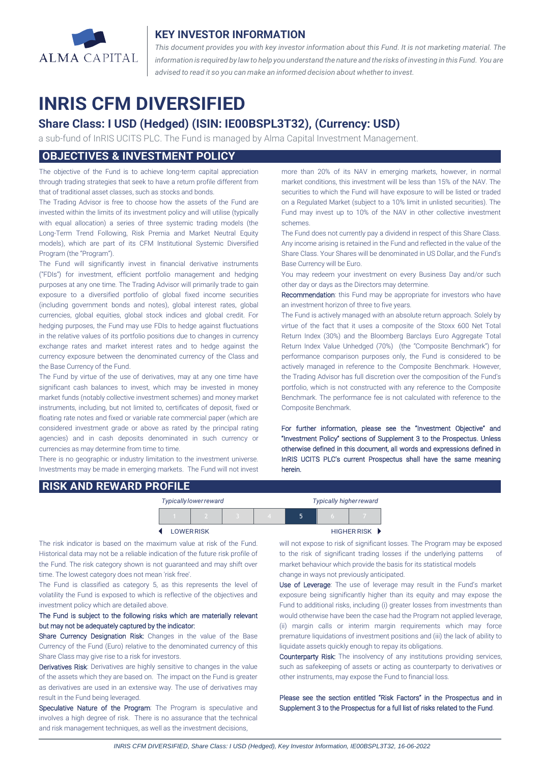

## **KEY INVESTOR INFORMATION**

*This document provides you with key investor information about this Fund. It is not marketing material. The* information is required by law to help you understand the nature and the risks of investing in this Fund. You are *advised to read it so you can make an informed decision about whether to invest.*

# **INRIS CFM DIVERSIFIED**

## **Share Class: I USD (Hedged) (ISIN: IE00BSPL3T32), (Currency: USD)**

a sub-fund of InRIS UCITS PLC. The Fund is managed by Alma Capital Investment Management.

## **OBJECTIVES & INVESTMENT POLICY**

The objective of the Fund is to achieve long-term capital appreciation through trading strategies that seek to have a return profile different from that of traditional asset classes, such as stocks and bonds.

The Trading Advisor is free to choose how the assets of the Fund are invested within the limits of its investment policy and will utilise (typically with equal allocation) a series of three systemic trading models (the Long-Term Trend Following, Risk Premia and Market Neutral Equity models), which are part of its CFM Institutional Systemic Diversified Program (the "Program").

The Fund will significantly invest in financial derivative instruments ("FDIs") for investment, efficient portfolio management and hedging purposes at any one time. The Trading Advisor will primarily trade to gain exposure to a diversified portfolio of global fixed income securities (including government bonds and notes), global interest rates, global currencies, global equities, global stock indices and global credit. For hedging purposes, the Fund may use FDIs to hedge against fluctuations in the relative values of its portfolio positions due to changes in currency exchange rates and market interest rates and to hedge against the currency exposure between the denominated currency of the Class and the Base Currency of the Fund.

The Fund by virtue of the use of derivatives, may at any one time have significant cash balances to invest, which may be invested in money market funds (notably collective investment schemes) and money market instruments, including, but not limited to, certificates of deposit, fixed or floating rate notes and fixed or variable rate commercial paper (which are considered investment grade or above as rated by the principal rating agencies) and in cash deposits denominated in such currency or currencies as may determine from time to time.

There is no geographic or industry limitation to the investment universe. Investments may be made in emerging markets. The Fund will not invest more than 20% of its NAV in emerging markets, however, in normal market conditions, this investment will be less than 15% of the NAV. The securities to which the Fund will have exposure to will be listed or traded on a Regulated Market (subject to a 10% limit in unlisted securities). The Fund may invest up to 10% of the NAV in other collective investment schemes.

The Fund does not currently pay a dividend in respect of this Share Class. Any income arising is retained in the Fund and reflected in the value of the Share Class. Your Shares will be denominated in US Dollar, and the Fund's Base Currency will be Euro.

You may redeem your investment on every Business Day and/or such other day or days as the Directors may determine.

Recommendation: this Fund may be appropriate for investors who have an investment horizon of three to five years.

The Fund is actively managed with an absolute return approach. Solely by virtue of the fact that it uses a composite of the Stoxx 600 Net Total Return Index (30%) and the Bloomberg Barclays Euro Aggregate Total Return Index Value Unhedged (70%) (the "Composite Benchmark") for performance comparison purposes only, the Fund is considered to be actively managed in reference to the Composite Benchmark. However, the Trading Advisor has full discretion over the composition of the Fund's portfolio, which is not constructed with any reference to the Composite Benchmark. The performance fee is not calculated with reference to the Composite Benchmark.

For further information, please see the "Investment Objective" and "Investment Policy" sections of Supplement 3 to the Prospectus. Unless otherwise defined in this document, all words and expressions defined in InRIS UCITS PLC's current Prospectus shall have the same meaning herein.

## **RISK AND REWARD PROFILE**

|                   | <b>Typically lower reward</b> |  | <b>Typically higher reward</b> |  |  |             |
|-------------------|-------------------------------|--|--------------------------------|--|--|-------------|
|                   |                               |  | z.                             |  |  |             |
| <b>LOWER RISK</b> |                               |  |                                |  |  | HIGHER RISK |

The risk indicator is based on the maximum value at risk of the Fund. Historical data may not be a reliable indication of the future risk profile of the Fund. The risk category shown is not guaranteed and may shift over time. The lowest category does not mean 'risk free'

The Fund is classified as category 5, as this represents the level of volatility the Fund is exposed to which is reflective of the objectives and investment policy which are detailed above.

### The Fund is subject to the following risks which are materially relevant but may not be adequately captured by the indicator:

Share Currency Designation Risk: Changes in the value of the Base Currency of the Fund (Euro) relative to the denominated currency of this Share Class may give rise to a risk for investors.

Derivatives Risk: Derivatives are highly sensitive to changes in the value of the assets which they are based on. The impact on the Fund is greater as derivatives are used in an extensive way. The use of derivatives may result in the Fund being leveraged.

Speculative Nature of the Program: The Program is speculative and involves a high degree of risk. There is no assurance that the technical and risk management techniques, as well as the investment decisions,

will not expose to risk of significant losses. The Program may be exposed to the risk of significant trading losses if the underlying patterns market behaviour which provide the basis for its statistical models change in ways not previously anticipated.

Use of Leverage: The use of leverage may result in the Fund's market exposure being significantly higher than its equity and may expose the Fund to additional risks, including (i) greater losses from investments than would otherwise have been the case had the Program not applied leverage, (ii) margin calls or interim margin requirements which may force premature liquidations of investment positions and (iii) the lack of ability to liquidate assets quickly enough to repay its obligations.

Counterparty Risk: The insolvency of any institutions providing services, such as safekeeping of assets or acting as counterparty to derivatives or other instruments, may expose the Fund to financial loss.

Please see the section entitled "Risk Factors" in the Prospectus and in Supplement 3 to the Prospectus for a full list of risks related to the Fund.